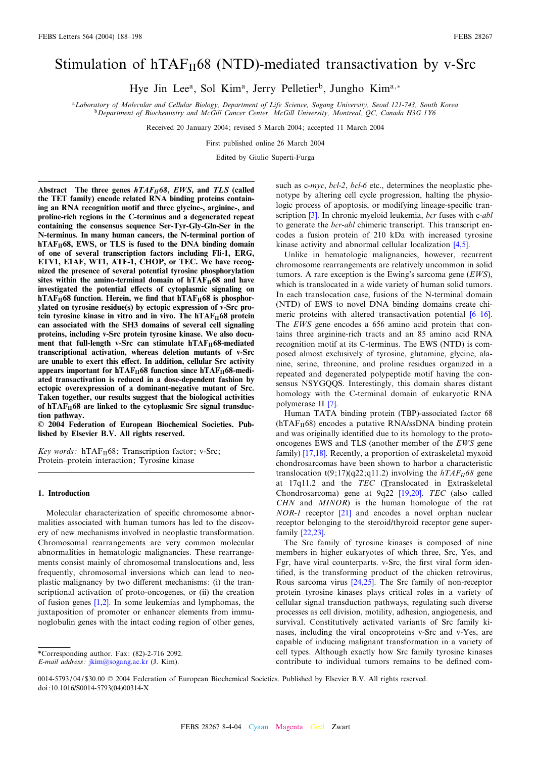# Stimulation of  $hTAF_{II}68$  (NTD)-mediated transactivation by v-Src

Hye Jin Lee<sup>a</sup>, Sol Kim<sup>a</sup>, Jerry Pelletier<sup>b</sup>, Jungho Kim<sup>a,\*</sup>

<sup>a</sup>Laboratory of Molecular and Cellular Biology, Department of Life Science, Sogang University, Seoul 121-743, South Korea <sup>b</sup>Department of Biochemistry and McGill Cancer Center, McGill University, Montreal, QC, Canada H3G 1Y6

Received 20 January 2004; revised 5 March 2004; accepted 11 March 2004

First published online 26 March 2004

Edited by Giulio Superti-Furga

Abstract The three genes  $hTAF_{II}68$ , EWS, and TLS (called the TET family) encode related RNA binding proteins containing an RNA recognition motif and three glycine-, arginine-, and proline-rich regions in the C-terminus and a degenerated repeat containing the consensus sequence Ser-Tyr-Gly-Gln-Ser in the N-terminus. In many human cancers, the N-terminal portion of  $hTAF<sub>II</sub>68$ , EWS, or TLS is fused to the DNA binding domain of one of several transcription factors including Fli-1, ERG, ETV1, E1AF, WT1, ATF-1, CHOP, or TEC. We have recognized the presence of several potential tyrosine phosphorylation sites within the amino-terminal domain of  $hTAF_{II}68$  and have investigated the potential effects of cytoplasmic signaling on hTAF $_{\text{II}}$ 68 function. Herein, we find that hTAF $_{\text{II}}$ 68 is phosphorylated on tyrosine residue(s) by ectopic expression of v-Src protein tyrosine kinase in vitro and in vivo. The hTAF $_{\rm II}$ 68 protein can associated with the SH3 domains of several cell signaling proteins, including v-Src protein tyrosine kinase. We also document that full-length v-Src can stimulate  $hTAF_{II}68$ -mediated transcriptional activation, whereas deletion mutants of v-Src are unable to exert this effect. In addition, cellular Src activity appears important for  $hTAF_{II}68$  function since  $hTAF_{II}68$ -mediated transactivation is reduced in a dose-dependent fashion by ectopic overexpression of a dominant-negative mutant of Src. Taken together, our results suggest that the biological activities of hTAF $_{II}$ 68 are linked to the cytoplasmic Src signal transduction pathway.

6 2004 Federation of European Biochemical Societies. Published by Elsevier B.V. All rights reserved.

Key words:  $hTAF_{II}68$ ; Transcription factor; v-Src; Protein-protein interaction; Tyrosine kinase

# 1. Introduction

Molecular characterization of specific chromosome abnormalities associated with human tumors has led to the discovery of new mechanisms involved in neoplastic transformation. Chromosomal rearrangements are very common molecular abnormalities in hematologic malignancies. These rearrangements consist mainly of chromosomal translocations and, less frequently, chromosomal inversions which can lead to neoplastic malignancy by two different mechanisms: (i) the transcriptional activation of proto-oncogenes, or (ii) the creation of fusion genes [\[1,2\].](#page-9-0) In some leukemias and lymphomas, the juxtaposition of promoter or enhancer elements from immunoglobulin genes with the intact coding region of other genes,

such as c-myc, bcl-2, bcl-6 etc., determines the neoplastic phenotype by altering cell cycle progression, halting the physiologic process of apoptosis, or modifying lineage-specific tran-scription [\[3\].](#page-9-0) In chronic myeloid leukemia, bcr fuses with c-abl to generate the *bcr-abl* chimeric transcript. This transcript encodes a fusion protein of 210 kDa with increased tyrosine kinase activity and abnormal cellular localization [\[4,5\].](#page-9-0)

Unlike in hematologic malignancies, however, recurrent chromosome rearrangements are relatively uncommon in solid tumors. A rare exception is the Ewing's sarcoma gene  $(EWS)$ , which is translocated in a wide variety of human solid tumors. In each translocation case, fusions of the N-terminal domain (NTD) of EWS to novel DNA binding domains create chimeric proteins with altered transactivation potential  $[6-16]$ . The EWS gene encodes a 656 amino acid protein that contains three arginine-rich tracts and an 85 amino acid RNA recognition motif at its C-terminus. The EWS (NTD) is composed almost exclusively of tyrosine, glutamine, glycine, alanine, serine, threonine, and proline residues organized in a repeated and degenerated polypeptide motif having the consensus NSYGQQS. Interestingly, this domain shares distant homology with the C-terminal domain of eukaryotic RNA polymerase II [\[7\].](#page-9-0)

Human TATA binding protein (TBP)-associated factor 68  $(hTAF<sub>II</sub>68)$  encodes a putative RNA/ssDNA binding protein and was originally identified due to its homology to the protooncogenes EWS and TLS (another member of the EWS gene family) [\[17,18\]](#page-9-0). Recently, a proportion of extraskeletal myxoid chondrosarcomas have been shown to harbor a characteristic translocation t(9;17)(q22;q11.2) involving the  $hTAF_{II}68$  gene at 17q11.2 and the TEC (Translocated in Extraskeletal Chondrosarcoma) gene at 9q22 [\[19,20\]](#page-9-0). TEC (also called  $CHN$  and  $MINOR$ ) is the human homologue of the rat NOR-1 receptor [\[21\]](#page-9-0) and encodes a novel orphan nuclear receptor belonging to the steroid/thyroid receptor gene superfamily [\[22,23\].](#page-9-0)

The Src family of tyrosine kinases is composed of nine members in higher eukaryotes of which three, Src, Yes, and Fgr, have viral counterparts. v-Src, the first viral form identified, is the transforming product of the chicken retrovirus, Rous sarcoma virus [\[24,25\].](#page-9-0) The Src family of non-receptor protein tyrosine kinases plays critical roles in a variety of cellular signal transduction pathways, regulating such diverse processes as cell division, motility, adhesion, angiogenesis, and survival. Constitutively activated variants of Src family kinases, including the viral oncoproteins v-Src and v-Yes, are capable of inducing malignant transformation in a variety of cell types. Although exactly how Src family tyrosine kinases contribute to individual tumors remains to be defined com-

<sup>\*</sup>Corresponding author. Fax: (82)-2-716 2092.

E-mail address: [jkim@sogang.ac.kr](mailto:jkim@sogang.ac.kr) (J. Kim).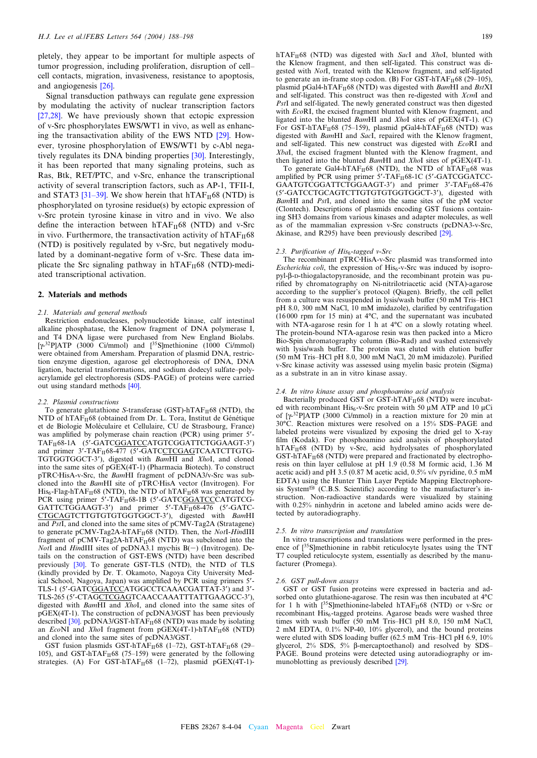<span id="page-1-0"></span>pletely, they appear to be important for multiple aspects of tumor progression, including proliferation, disruption of cell^ cell contacts, migration, invasiveness, resistance to apoptosis, and angiogenesis [\[26\].](#page-9-0)

Signal transduction pathways can regulate gene expression by modulating the activity of nuclear transcription factors [\[27,28\]](#page-9-0). We have previously shown that ectopic expression of v-Src phosphorylates EWS/WT1 in vivo, as well as enhancing the transactivation ability of the EWS NTD [\[29\].](#page-9-0) However, tyrosine phosphorylation of EWS/WT1 by c-Abl negatively regulates its DNA binding properties [\[30\]](#page-9-0). Interestingly, it has been reported that many signaling proteins, such as Ras, Btk, RET/PTC, and v-Src, enhance the transcriptional activity of several transcription factors, such as AP-1, TFII-I, and STAT3 [31-39]. We show herein that hTAF $_{II}$ 68 (NTD) is phosphorylated on tyrosine residue(s) by ectopic expression of v-Src protein tyrosine kinase in vitro and in vivo. We also define the interaction between  $hTAF_{II}68$  (NTD) and v-Src in vivo. Furthermore, the transactivation activity of  $hTAF_{II}68$ (NTD) is positively regulated by v-Src, but negatively modulated by a dominant-negative form of v-Src. These data implicate the Src signaling pathway in  $hTAF_{II}68$  (NTD)-mediated transcriptional activation.

# 2. Materials and methods

# 2.1. Materials and general methods

Restriction endonucleases, polynucleotide kinase, calf intestinal alkaline phosphatase, the Klenow fragment of DNA polymerase I, and T4 DNA ligase were purchased from New England Biolabs.  $[\gamma$ <sup>-32</sup>P]ATP (3000 Ci/mmol) and  $[^{35}$ S]methionine (1000 Ci/mmol) were obtained from Amersham. Preparation of plasmid DNA, restriction enzyme digestion, agarose gel electrophoresis of DNA, DNA ligation, bacterial transformations, and sodium dodecyl sulfate^polyacrylamide gel electrophoresis (SDS^PAGE) of proteins were carried out using standard methods [\[40\].](#page-10-0)

# 2.2. Plasmid constructions

To generate glutathione S-transferase (GST)-hTAF $_H$ 68 (NTD), the NTD of hTAF $_{II}$ 68 (obtained from Dr. L. Tora, Institut de Génétique et de Biologie Moléculaire et Cellulaire, CU de Strasbourg, France) was amplified by polymerase chain reaction (PCR) using primer 5'-TAF<sub>II</sub>68-1A (5'-GATCGGATCCATGTCGGATTCTGGAAGT-3') and primer 3'-TAF<sub>II</sub>68-477 (5'-GATCCTCGAGTCAATCTTGTG-TGTGGTGGCT-3'), digested with BamHI and XhoI, and cloned into the same sites of pGEX(4T-1) (Pharmacia Biotech). To construct pTRC·HisA-v-Src, the BamHI fragment of pcDNA3/v-Src was subcloned into the BamHI site of pTRC·HisA vector (Invitrogen). For  $His<sub>6</sub>$ -Flag-hTAF<sub>II</sub>68 (NTD), the NTD of hTAF<sub>II</sub>68 was generated by PCR using primer  $5'$ -TAF $_H$ 68-1B (5'-GATCGGATCCCATGTCG- $GATTCTG\hat{G}AAGT-3'$  and primer  $5'$ -TAF<sub>II</sub>68-476 (5'-GATC-CTGCAGTCTTGTGTGTGGTGGCT-3'), digested with BamHI and PstI, and cloned into the same sites of pCMV-Tag2A (Stratagene) to generate pCMV-Tag2A-hTAF $_{II}$ 68 (NTD). Then, the NotI-HindIII fragment of  $pCMV-Tag2A-hTAF<sub>II</sub>68$  (NTD) was subcloned into the *NotI* and *HindIII* sites of pcDNA3.1 mychis  $B(-)$  (Invitrogen). Details on the construction of GST-EWS (NTD) have been described previously [\[30\].](#page-9-0) To generate GST-TLS (NTD), the NTD of TLS (kindly provided by Dr. T. Okamoto, Nagoya City University Medical School, Nagoya, Japan) was amplified by PCR using primers 5'-TLS-1 (5'-GATCGGATCCATGGCCTCAAACGATTAT-3') and 3'-TLS-265 (5'-CTAGCTCGAGTCAACCAAATTTATTGAAGCC-3'), digested with BamHI and XhoI, and cloned into the same sites of pGEX(4T-1). The construction of pcDNA3/GST has been previously described  $[30]$ . pcDNA3/GST-hTA $\overline{F}_{II}$ 68 (NTD) was made by isolating an EcoNI and XhoI fragment from pGEX(4T-1)-hTAF<sub>II</sub>68 (NTD) and cloned into the same sites of pcDNA3/GST.

GST fusion plasmids GST-hTAF $_H$ 68 (1-72), GST-hTAF $_H$ 68 (29-105), and GST-hTAF $_H$ 68 (75–159) were generated by the following strategies. (A) For GST-hTAF $_{II}$ 68 (1-72), plasmid pGEX(4T-1)-

hTAF $_{II}$ 68 (NTD) was digested with SacI and XhoI, blunted with the Klenow fragment, and then self-ligated. This construct was digested with NotI, treated with the Klenow fragment, and self-ligated to generate an in-frame stop codon. (B) For GST-hTAF $_{II}$ 68 (29–105), plasmid pGal4-hTAF $_{\rm II}$ 68 (NTD) was digested with BamHI and BstXI and self-ligated. This construct was then re-digested with XcmI and PstI and self-ligated. The newly generated construct was then digested with EcoRI, the excised fragment blunted with Klenow fragment, and ligated into the blunted BamHI and XhoI sites of pGEX(4T-1). (C) For GST-hTAF $_{II}$ 68 (75-159), plasmid pGal4-hTAF $_{II}$ 68 (NTD) was digested with BamHI and SacI, repaired with the Klenow fragment, and self-ligated. This new construct was digested with EcoRI and XbaI, the excised fragment blunted with the Klenow fragment, and then ligated into the blunted *BamHI* and *XhoI* sites of pGEX(4T-1).

To generate Gal4-hTAF $_{II}$ 68 (NTD), the NTD of hTAF $_{II}$ 68 was amplified by PCR using primer  $5'$ -TAF $_H$ 68-1C (5'-GATCGGATCC-GAATGTCGGATTCTGGAAGT-3') and primer 3'-TAF<sub>II</sub>68-476 (5'-GATCCTGCAGTCTTGTGTGTGGTGGCT-3'), digested with BamHI and PstI, and cloned into the same sites of the pM vector (Clontech). Descriptions of plasmids encoding GST fusions containing SH3 domains from various kinases and adapter molecules, as well as of the mammalian expression v-Src constructs (pcDNA3-v-Src,  $\Delta$ kinase, and R295) have been previously described [\[29\].](#page-9-0)

# 2.3. Purification of  $His_6$ -tagged v-Src

The recombinant pTRC HisA-v-Src plasmid was transformed into *Escherichia coli*, the expression of  $His<sub>6</sub>-v-Src$  was induced by isopro $pyl-\beta$ -D-thiogalactopyranoside, and the recombinant protein was purified by chromatography on Ni-nitrilotriacetic acid (NTA)-agarose according to the supplier's protocol (Qiagen). Briefly, the cell pellet from a culture was resuspended in lysis/wash buffer (50 mM Tris-HCl pH 8.0, 300 mM NaCl, 10 mM imidazole), clarified by centrifugation  $(16000$  rpm for 15 min) at 4°C, and the supernatant was incubated with NTA-agarose resin for 1 h at  $4^{\circ}$ C on a slowly rotating wheel. The protein-bound NTA-agarose resin was then packed into a Micro Bio-Spin chromatography column (Bio-Rad) and washed extensively with lysis/wash buffer. The protein was eluted with elution buffer (50 mM Tris-HCl pH 8.0, 300 mM NaCl, 20 mM imidazole). Purified v-Src kinase activity was assessed using myelin basic protein (Sigma) as a substrate in an in vitro kinase assay.

#### 2.4. In vitro kinase assay and phosphoamino acid analysis

Bacterially produced GST or GST-hTAF $_{II}$ 68 (NTD) were incubated with recombinant His<sub>6</sub>-v-Src protein with 50  $\mu$ M ATP and 10  $\mu$ Ci of  $[\gamma^{32}P]ATP$  (3000 Ci/mmol) in a reaction mixture for 20 min at 30°C. Reaction mixtures were resolved on a 15% SDS-PAGE and labeled proteins were visualized by exposing the dried gel to X-ray film (Kodak). For phosphoamino acid analysis of phosphorylated  $hTAF_{II}$ 68 (NTD) by v-Src, acid hydrolysates of phosphorylated  $GST-hTAF_{II}68$  (NTD) were prepared and fractionated by electrophoresis on thin layer cellulose at pH 1.9 (0.58 M formic acid, 1.36 M acetic acid) and pH 3.5 (0.87 M acetic acid, 0.5% v/v pyridine, 0.5 mM EDTA) using the Hunter Thin Layer Peptide Mapping Electrophoresis System<sup>®</sup> (C.B.S. Scientific) according to the manufacturer's instruction. Non-radioactive standards were visualized by staining with 0.25% ninhydrin in acetone and labeled amino acids were detected by autoradiography.

# 2.5. In vitro transcription and translation

In vitro transcriptions and translations were performed in the presence of  $\int^{35}$ S]methionine in rabbit reticulocyte lysates using the TNT T7 coupled reticulocyte system, essentially as described by the manufacturer (Promega).

#### 2.6. GST pull-down assays

GST or GST fusion proteins were expressed in bacteria and adsorbed onto glutathione-agarose. The resin was then incubated at  $4^{\circ}C$ for 1 h with  $\int^{35}$ S]methionine-labeled hTAF<sub>II</sub>68 (NTD) or v-Src or recombinant His<sub>6</sub>-tagged proteins. Agarose beads were washed three times with wash buffer (50 mM Tris-HCl pH 8.0, 150 mM NaCl, 2 mM EDTA, 0.1% NP-40, 10% glycerol), and the bound proteins were eluted with SDS loading buffer (62.5 mM Tris-HCl pH 6.9, 10% glycerol,  $2\%$  SDS,  $5\%$   $\beta$ -mercaptoethanol) and resolved by SDS-PAGE. Bound proteins were detected using autoradiography or immunoblotting as previously described [\[29\].](#page-9-0)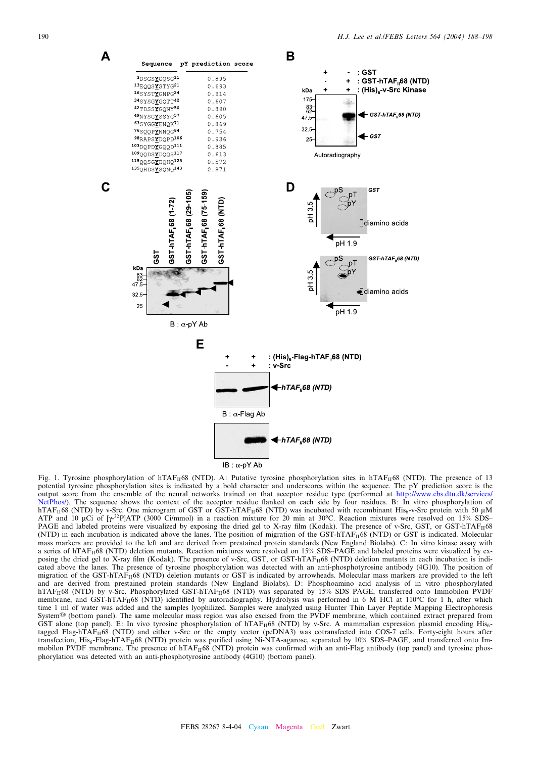<span id="page-2-0"></span>

 $IB: \alpha$ -pY Ab

Fig. 1. Tyrosine phosphorylation of hTAF<sub>II</sub>68 (NTD). A: Putative tyrosine phosphorylation sites in hTAF<sub>II</sub><sup>68</sup> (NTD). The presence of 13 potential tyrosine phosphorylation sites is indicated by a bold character and underscores within the sequence. The pY prediction score is the output score from the ensemble of the neural networks trained on that acceptor residue type (performed at [http://www.cbs.dtu.dk/services/](http://www.cbs.dtu.dk/services/NetPhos/) [NetPhos/\)](http://www.cbs.dtu.dk/services/NetPhos/). The sequence shows the context of the acceptor residue flanked on each side by four residues. B: In vitro phosphorylation of hTAF<sub>II</sub>68 (NTD) by v-Src. One microgram of GST or GST-hTAF<sub>II</sub>68 (NTD) was incubated with recombinant His<sub>6</sub>-v-Src protein with 50  $\mu$ M ATP and 10 µCi of  $[\gamma^{32}P]$ ATP (3000 Ci/mmol) in a reaction mixture for 20 min at 30°C. Reaction mixtures were resolved on 15% SDS-PAGE and labeled proteins were visualized by exposing the dried gel to X-ray film (Kodak). The presence of v-Src, GST, or GST-hTAFI168  $(NTD)$  in each incubation is indicated above the lanes. The position of migration of the GST-hTAF<sub>II</sub>68 (NTD) or GST is indicated. Molecular mass markers are provided to the left and are derived from prestained protein standards (New England Biolabs). C: In vitro kinase assay with a series of hTAF<sub>II</sub>68 (NTD) deletion mutants. Reaction mixtures were resolved on 15% SDS-PAGE and labeled proteins were visualized by exposing the dried gel to X-ray film (Kodak). The presence of v-Src, GST, or GST-hTAF<sub>II</sub>68 (NTD) deletion mutants in each incubation is indicated above the lanes. The presence of tyrosine phosphorylation was detected with an anti-phosphotyrosine antibody (4G10). The position of migration of the GST-hTAF $_{II}$ 68 (NTD) deletion mutants or GST is indicated by arrowheads. Molecular mass markers are provided to the left and are derived from prestained protein standards (New England Biolabs). D: Phosphoamino acid analysis of in vitro phosphorylated hTAF<sub>II</sub>68 (NTD) by v-Src. Phosphorylated GST-hTAF<sub>II</sub>68 (NTD) was separated by 15% SDS-PAGE, transferred onto Immobilon PVDF membrane, and GST-hTAF<sub>II</sub>68 (NTD) identified by autoradiography. Hydrolysis was performed in 6 M HCl at 110°C for 1 h, after which time 1 ml of water was added and the samples lyophilized. Samples were analyzed using Hunter Thin Layer Peptide Mapping Electrophoresis System<sup>®</sup> (bottom panel). The same molecular mass region was also excised from the PVDF membrane, which contained extract prepared from GST alone (top panel). E: In vivo tyrosine phosphorylation of  $hTAF_{II}68$  (NTD) by v-Src. A mammalian expression plasmid encoding His<sub>6</sub>tagged Flag-hTAF $_{II}$ 68 (NTD) and either v-Src or the empty vector (pcDNA3) was cotransfected into COS-7 cells. Forty-eight hours after transfection, His<sub>6</sub>-Flag-hTAF<sub>II</sub>68 (NTD) protein was purified using Ni-NTA-agarose, separated by 10% SDS-PAGE, and transferred onto Immobilon PVDF membrane. The presence of  $hTAF<sub>H</sub>68$  (NTD) protein was confirmed with an anti-Flag antibody (top panel) and tyrosine phosphorylation was detected with an anti-phosphotyrosine antibody (4G10) (bottom panel).

 $\mathbf C$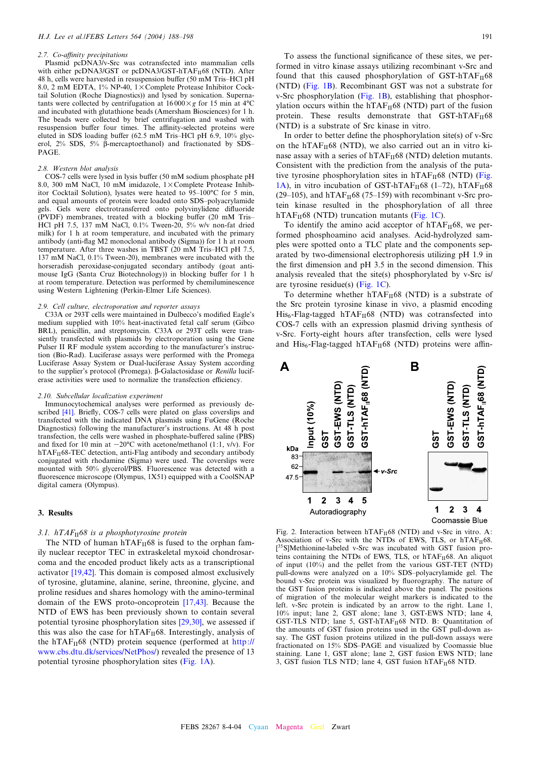#### <span id="page-3-0"></span>2.7. Co-affinity precipitations

Plasmid pcDNA3/v-Src was cotransfected into mammalian cells with either pcDNA3/GST or pcDNA3/GST-hTAF<sub>II</sub>68 (NTD). After 48 h, cells were harvested in resuspension buffer (50 mM Tris-HCl pH 8.0, 2 mM EDTA, 1% NP-40,  $1 \times$ Complete Protease Inhibitor Cocktail Solution (Roche Diagnostics)) and lysed by sonication. Supernatants were collected by centrifugation at  $16000 \times g$  for 15 min at 4<sup>o</sup>C and incubated with glutathione beads (Amersham Biosciences) for 1 h. The beads were collected by brief centrifugation and washed with resuspension buffer four times. The affinity-selected proteins were eluted in SDS loading buffer (62.5 mM Tris-HCl pH 6.9,  $10\%$  glycerol,  $2\%$  SDS,  $5\%$   $\beta$ -mercaptoethanol) and fractionated by SDS-PAGE.

#### 2.8. Western blot analysis

COS-7 cells were lysed in lysis buffer (50 mM sodium phosphate pH 8.0, 300 mM NaCl, 10 mM imidazole,  $1 \times$ Complete Protease Inhibitor Cocktail Solution), lysates were heated to 95-100°C for 5 min, and equal amounts of protein were loaded onto SDS-polyacrylamide gels. Gels were electrotransferred onto polyvinylidene difluoride (PVDF) membranes, treated with a blocking buffer (20 mM Tris-HCl pH 7.5, 137 mM NaCl, 0.1% Tween-20, 5% w/v non-fat dried milk) for 1 h at room temperature, and incubated with the primary antibody (anti-£ag M2 monoclonal antibody (Sigma)) for 1 h at room temperature. After three washes in TBST (20 mM Tris-HCl pH 7.5, 137 mM NaCl, 0.1% Tween-20), membranes were incubated with the horseradish peroxidase-conjugated secondary antibody (goat antimouse IgG (Santa Cruz Biotechnology)) in blocking buffer for 1 h at room temperature. Detection was performed by chemiluminescence using Western Lightening (Perkin-Elmer Life Sciences).

## 2.9. Cell culture, electroporation and reporter assays

C33A or 293T cells were maintained in Dulbecco's modified Eagle's medium supplied with 10% heat-inactivated fetal calf serum (Gibco BRL), penicillin, and streptomycin. C33A or 293T cells were transiently transfected with plasmids by electroporation using the Gene Pulser II RF module system according to the manufacturer's instruction (Bio-Rad). Luciferase assays were performed with the Promega Luciferase Assay System or Dual-luciferase Assay System according to the supplier's protocol (Promega).  $\beta$ -Galactosidase or Renilla luciferase activities were used to normalize the transfection efficiency.

#### 2.10. Subcellular localization experiment

Immunocytochemical analyses were performed as previously de-scribed [\[41\]](#page-10-0). Briefly, COS-7 cells were plated on glass coverslips and transfected with the indicated DNA plasmids using FuGene (Roche Diagnostics) following the manufacturer's instructions. At 48 h post transfection, the cells were washed in phosphate-buffered saline (PBS) and fixed for 10 min at  $-20^{\circ}$ C with acetone/methanol (1:1, v/v). For  $hTAF_{II}68-TEC$  detection, anti-Flag antibody and secondary antibody conjugated with rhodamine (Sigma) were used. The coverslips were mounted with 50% glycerol/PBS. Fluorescence was detected with a fluorescence microscope (Olympus, 1X51) equipped with a CoolSNAP digital camera (Olympus).

# 3. Results

# 3.1.  $hTAF_{II}68$  is a phosphotyrosine protein

The NTD of human  $hTAF_{II}68$  is fused to the orphan family nuclear receptor TEC in extraskeletal myxoid chondrosarcoma and the encoded product likely acts as a transcriptional activator [\[19,42\]](#page-9-0). This domain is composed almost exclusively of tyrosine, glutamine, alanine, serine, threonine, glycine, and proline residues and shares homology with the amino-terminal domain of the EWS proto-oncoprotein [\[17,43\]](#page-9-0). Because the NTD of EWS has been previously shown to contain several potential tyrosine phosphorylation sites [\[29,30\],](#page-9-0) we assessed if this was also the case for  $hTAF_{II}68$ . Interestingly, analysis of the hTAF $_{II}$ 68 (NTD) protein sequence (performed at [http://](www.cbs.dtu.dk/services/NetPhos/) <www.cbs.dtu.dk/services/NetPhos/>) revealed the presence of 13 potential tyrosine phosphorylation sites ([Fig. 1A](#page-2-0)).

To assess the functional significance of these sites, we performed in vitro kinase assays utilizing recombinant v-Src and found that this caused phosphorylation of  $GST-hTAF_H68$ (NTD) [\(Fig. 1B](#page-2-0)). Recombinant GST was not a substrate for v-Src phosphorylation ([Fig. 1B](#page-2-0)), establishing that phosphorylation occurs within the hTAF $_{II}$ 68 (NTD) part of the fusion protein. These results demonstrate that  $GST-hTAF_{II}68$ (NTD) is a substrate of Src kinase in vitro.

In order to better define the phosphorylation site(s) of  $v$ -Src on the hTAF $_{\text{II}}$ 68 (NTD), we also carried out an in vitro kinase assay with a series of  $hTAF_{II}68$  (NTD) deletion mutants. Consistent with the prediction from the analysis of the putative tyrosine phosphorylation sites in  $hTAF_{II}68$  (NTD) ([Fig.](#page-2-0) [1A](#page-2-0)), in vitro incubation of GST-hTAF $_H$ 68 (1-72), hTAF $_H$ 68 (29–105), and hTAF $_{\text{II}}$ 68 (75–159) with recombinant v-Src protein kinase resulted in the phosphorylation of all three hTAF $_{II}$ 68 (NTD) truncation mutants ([Fig. 1C](#page-2-0)).

To identify the amino acid acceptor of  $hTAF<sub>H</sub>68$ , we performed phosphoamino acid analyses. Acid-hydrolyzed samples were spotted onto a TLC plate and the components separated by two-dimensional electrophoresis utilizing pH 1.9 in the first dimension and  $pH$  3.5 in the second dimension. This analysis revealed that the site(s) phosphorylated by v-Src is/ are tyrosine residue(s) [\(Fig. 1C\)](#page-2-0).

To determine whether  $hTAF_{II}68$  (NTD) is a substrate of the Src protein tyrosine kinase in vivo, a plasmid encoding  $His<sub>6</sub>-Flag-tagged hTAF<sub>H</sub>68 (NTD) was contrasted into$ COS-7 cells with an expression plasmid driving synthesis of v-Src. Forty-eight hours after transfection, cells were lysed and  $His<sub>6</sub>-Flag-tagged hTAF<sub>H</sub>68 (NTD) proteins were affin-$ 



Fig. 2. Interaction between  $hTAF_{II}68$  (NTD) and v-Src in vitro. A: Association of v-Src with the NTDs of EWS, TLS, or  $hTAF_H68$ . [<sup>35</sup>S]Methionine-labeled v-Src was incubated with GST fusion proteins containing the NTDs of EWS, TLS, or hTAF<sub>II</sub>68. An aliquot of input (10%) and the pellet from the various GST-TET (NTD) pull-downs were analyzed on a 10% SDS-polyacrylamide gel. The bound v-Src protein was visualized by fluorography. The nature of the GST fusion proteins is indicated above the panel. The positions of migration of the molecular weight markers is indicated to the left. v-Src protein is indicated by an arrow to the right. Lane 1, 10% input; lane 2, GST alone; lane 3, GST-EWS NTD; lane 4, GST-TLS NTD; lane 5, GST-hTAF $_H$ 68 NTD. B: Quantitation of the amounts of GST fusion proteins used in the GST pull-down assay. The GST fusion proteins utilized in the pull-down assays were fractionated on 15% SDS-PAGE and visualized by Coomassie blue staining. Lane 1, GST alone; lane 2, GST fusion EWS NTD; lane 3, GST fusion TLS NTD; lane 4, GST fusion  $hTAF_{II}68$  NTD.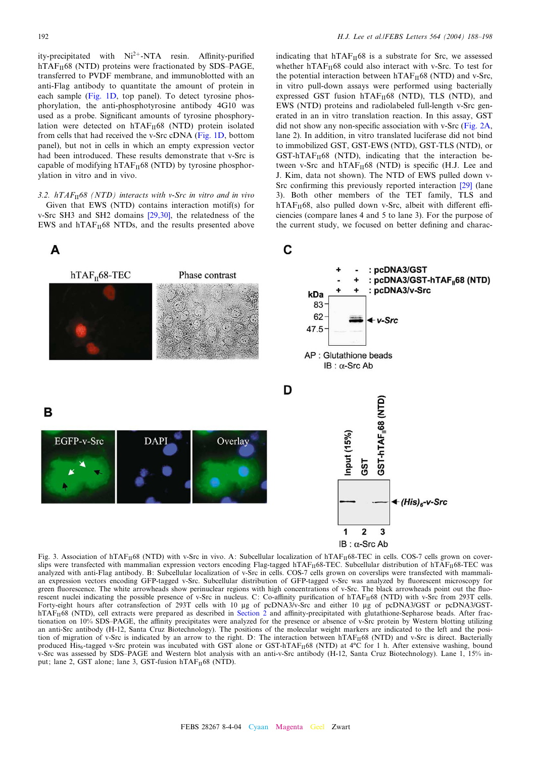<span id="page-4-0"></span>ity-precipitated with Ni<sup>2+</sup>-NTA resin. Affinity-purified  $hTAF_{II}$ 68 (NTD) proteins were fractionated by SDS-PAGE, transferred to PVDF membrane, and immunoblotted with an anti-Flag antibody to quantitate the amount of protein in each sample ([Fig. 1D](#page-2-0), top panel). To detect tyrosine phosphorylation, the anti-phosphotyrosine antibody 4G10 was used as a probe. Significant amounts of tyrosine phosphorylation were detected on  $hTAF_{II}68$  (NTD) protein isolated from cells that had received the v-Src cDNA ([Fig. 1D,](#page-2-0) bottom panel), but not in cells in which an empty expression vector had been introduced. These results demonstrate that v-Src is capable of modifying  $hTAF_{II}68$  (NTD) by tyrosine phosphorylation in vitro and in vivo.

3.2.  $hTAF<sub>II</sub>68 (NTD)$  interacts with v-Src in vitro and in vivo Given that EWS (NTD) contains interaction motif(s) for v-Src SH3 and SH2 domains [\[29,30\],](#page-9-0) the relatedness of the EWS and  $hTAF_{II}68$  NTDs, and the results presented above indicating that  $hTAF_{II}68$  is a substrate for Src, we assessed whether  $hTAF_{II}68$  could also interact with v-Src. To test for the potential interaction between  $hTAF_{II}68$  (NTD) and v-Src, in vitro pull-down assays were performed using bacterially expressed GST fusion  $hTAF_{II}68$  (NTD), TLS (NTD), and EWS (NTD) proteins and radiolabeled full-length v-Src generated in an in vitro translation reaction. In this assay, GST did not show any non-specific association with v-Src (Fig.  $2A$ , lane 2). In addition, in vitro translated luciferase did not bind to immobilized GST, GST-EWS (NTD), GST-TLS (NTD), or  $GST-hTAF_{II}68$  (NTD), indicating that the interaction between v-Src and  $hTAF_{II}68$  (NTD) is specific (H.J. Lee and J. Kim, data not shown). The NTD of EWS pulled down v-Src confirming this previously reported interaction  $[29]$  (lane 3). Both other members of the TET family, TLS and  $hTAF<sub>II</sub>68$ , also pulled down v-Src, albeit with different efficiencies (compare lanes 4 and 5 to lane 3). For the purpose of the current study, we focused on better defining and charac-



Fig. 3. Association of hTAF<sub>II</sub>68 (NTD) with v-Src in vivo. A: Subcellular localization of hTAF<sub>II</sub>68-TEC in cells. COS-7 cells grown on coverslips were transfected with mammalian expression vectors encoding Flag-tagged hTAF<sub>II</sub>68-TEC. Subcellular distribution of hTAF<sub>II</sub>68-TEC was analyzed with anti-Flag antibody. B: Subcellular localization of v-Src in cells. COS-7 cells grown on coverslips were transfected with mammalian expression vectors encoding GFP-tagged v-Src. Subcellular distribution of GFP-tagged v-Src was analyzed by fluorescent microscopy for green fluorescence. The white arrowheads show perinuclear regions with high concentrations of v-Src. The black arrowheads point out the fluorescent nuclei indicating the possible presence of v-Src in nucleus. C: Co-affinity purification of hTAF<sub>II</sub>68 (NTD) with v-Src from 293T cells. Forty-eight hours after cotransfection of 293T cells with 10 µg of pcDNA3/v-Src and either 10 µg of pcDNA3/GST or pcDNA3/GST $hTAF_{II}$ 68 (NTD), cell extracts were prepared as described in [Section 2](#page-1-0) and affinity-precipitated with glutathione-Sepharose beads. After fractionation on 10% SDS-PAGE, the affinity precipitates were analyzed for the presence or absence of v-Src protein by Western blotting utilizing an anti-Src antibody (H-12, Santa Cruz Biotechnology). The positions of the molecular weight markers are indicated to the left and the position of migration of v-Src is indicated by an arrow to the right. D: The interaction between hTAF<sub>II</sub>68 (NTD) and v-Src is direct. Bacterially produced His<sub>6</sub>-tagged v-Src protein was incubated with GST alone or GST-hTAF<sub>II</sub>68 (NTD) at <sup>4</sup>°C for 1 h. After extensive washing, bound v-Src was assessed by SDS^PAGE and Western blot analysis with an anti-v-Src antibody (H-12, Santa Cruz Biotechnology). Lane 1, 15% input; lane 2, GST alone; lane 3, GST-fusion hTAF<sub>II</sub>68 (NTD).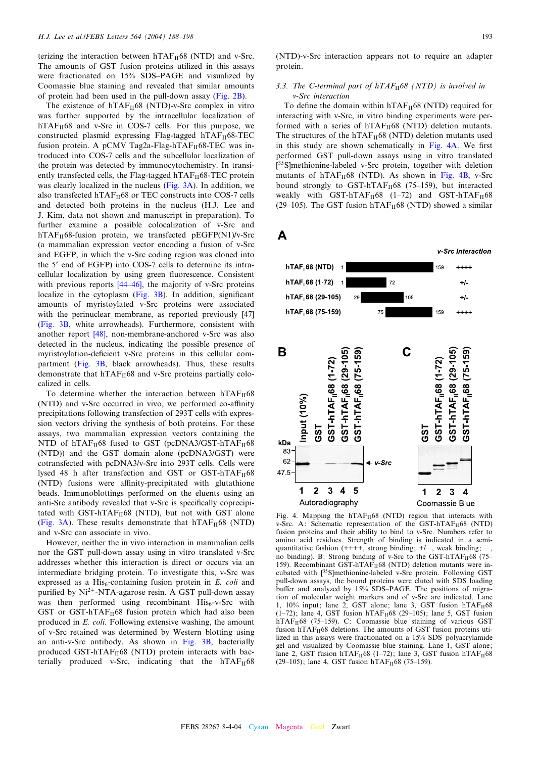<span id="page-5-0"></span>terizing the interaction between  $hTAF_{II}68$  (NTD) and v-Src. The amounts of GST fusion proteins utilized in this assays were fractionated on 15% SDS-PAGE and visualized by Coomassie blue staining and revealed that similar amounts of protein had been used in the pull-down assay [\(Fig. 2B](#page-3-0)).

The existence of  $hTAF_{II}68$  (NTD)-v-Src complex in vitro was further supported by the intracellular localization of  $hTAF<sub>II</sub>68$  and v-Src in COS-7 cells. For this purpose, we constructed plasmid expressing Flag-tagged hTAF $_{II}$ 68-TEC fusion protein. A pCMV Tag2a-Flag-hTAF $_{II}$ 68-TEC was introduced into COS-7 cells and the subcellular localization of the protein was detected by immunocytochemistry. In transiently transfected cells, the Flag-tagged  $hTAF_{II}68-TEC$  protein was clearly localized in the nucleus [\(Fig. 3A](#page-4-0)). In addition, we also transfected hTAF $_{\text{II}}$ 68 or TEC constructs into COS-7 cells and detected both proteins in the nucleus (H.J. Lee and J. Kim, data not shown and manuscript in preparation). To further examine a possible colocalization of v-Src and  $hTAF_{II}68$ -fusion protein, we transfected pEGFP(N1)/v-Src (a mammalian expression vector encoding a fusion of v-Src and EGFP, in which the v-Src coding region was cloned into the 5' end of EGFP) into COS-7 cells to determine its intracellular localization by using green fluorescence. Consistent with previous reports  $[44-46]$ , the majority of v-Src proteins localize in the cytoplasm  $(Fig. 3B)$ . In addition, significant amounts of myristoylated v-Src proteins were associated with the perinuclear membrane, as reported previously [\[47\]](#page-10-0) ([Fig. 3B](#page-4-0), white arrowheads). Furthermore, consistent with another report [\[48\]](#page-10-0), non-membrane-anchored v-Src was also detected in the nucleus, indicating the possible presence of myristoylation-deficient v-Src proteins in this cellular compartment [\(Fig. 3B,](#page-4-0) black arrowheads). Thus, these results demonstrate that  $hTAF_{II}68$  and v-Src proteins partially colocalized in cells.

To determine whether the interaction between  $hTAF_{II}68$ (NTD) and v-Src occurred in vivo, we performed co-affinity precipitations following transfection of 293T cells with expression vectors driving the synthesis of both proteins. For these assays, two mammalian expression vectors containing the NTD of  $hTAF_H68$  fused to GST (pcDNA3/GST-hTAF $_H68$ (NTD)) and the GST domain alone (pcDNA3/GST) were cotransfected with pcDNA3/v-Src into 293T cells. Cells were lysed 48 h after transfection and GST or GST-hTAF $_{II}$ 68 (NTD) fusions were affinity-precipitated with glutathione beads. Immunoblottings performed on the eluents using an anti-Src antibody revealed that v-Src is specifically coprecipitated with GST-hTAF $_{II}$ 68 (NTD), but not with GST alone ([Fig. 3A](#page-4-0)). These results demonstrate that  $hTAF_{II}68$  (NTD) and v-Src can associate in vivo.

However, neither the in vivo interaction in mammalian cells nor the GST pull-down assay using in vitro translated v-Src addresses whether this interaction is direct or occurs via an intermediate bridging protein. To investigate this, v-Src was expressed as a His<sub>6</sub>-containing fusion protein in  $E$ . *coli* and purified by  $Ni^{2+}$ -NTA-agarose resin. A GST pull-down assay was then performed using recombinant  $His<sub>6</sub>-v-Src$  with GST or GST-hTAF $_{II}$ 68 fusion protein which had also been produced in E. coli. Following extensive washing, the amount of v-Src retained was determined by Western blotting using an anti-v-Src antibody. As shown in [Fig. 3B,](#page-4-0) bacterially produced GST-hTAF $_{II}$ 68 (NTD) protein interacts with bacterially produced v-Src, indicating that the  $hTAF_{II}68$ 

(NTD)-v-Src interaction appears not to require an adapter protein.

# 3.3. The C-terminal part of  $hTAF_{II}$ 68 (NTD) is involved in v-Src interaction

To define the domain within  $hTAF_{II}68$  (NTD) required for interacting with v-Src, in vitro binding experiments were performed with a series of  $hTAF_{II}68$  (NTD) deletion mutants. The structures of the hTAF $_{II}$ 68 (NTD) deletion mutants used in this study are shown schematically in Fig. 4A. We first performed GST pull-down assays using in vitro translated [<sup>35</sup>S]methionine-labeled v-Src protein, together with deletion mutants of  $hTAF<sub>H</sub>68$  (NTD). As shown in Fig. 4B, v-Src bound strongly to GST-hTAF $_H$ 68 (75–159), but interacted weakly with GST-hTAF $_{II}$ 68 (1-72) and GST-hTAF $_{II}$ 68 (29–105). The GST fusion hTAF $_H$ 68 (NTD) showed a similar

Α v-Src Interaction hTAF<sub>1</sub>68 (NTD)  $***$ hTAF 68 (1-72)  $72$  $+1$ hTAF<sub>168</sub> (29-105) 105  $+1$ hTAF<sub>168</sub> (75-159) 159  $+ + + +$ В 59) C  $(29 - 105)$ GST-hTAF<sub>168</sub> (29-105) GST-hTAF<sub>1</sub>68 (75-159) GST-hTAF<sub>1</sub>68 (1-72) GST-hTAF<sub>11</sub>68 (1-72) GST-hTAF<sub>1</sub>68 GST-hTAF<sub>168</sub> Input (10%) GST **GST** kDa 83 62 ← v-Src 47.5  $\mathbf 1$  $\mathbf{2}$  $3 \quad 4 \quad 5$  $\mathbf{2}$ 1  $\mathbf{3}$ 4 Autoradiography Coomassie Blue

Fig. 4. Mapping the  $hTAF_H68$  (NTD) region that interacts with v-Src. A: Schematic representation of the GST-hTAF<sub>II</sub>68 (NTD) fusion proteins and their ability to bind to v-Src. Numbers refer to amino acid residues. Strength of binding is indicated in a semiquantitative fashion  $(++++$ , strong binding;  $+/-$ , weak binding;  $-$ , no binding). B: Strong binding of v-Src to the GST-hTAF $_H$ 68 (75– 159). Recombinant GST-hTAF $_H$ 68 (NTD) deletion mutants were incubated with [35S]methionine-labeled v-Src protein. Following GST pull-down assays, the bound proteins were eluted with SDS loading buffer and analyzed by 15% SDS-PAGE. The positions of migration of molecular weight markers and of v-Src are indicated. Lane 1, 10% input; lane 2, GST alone; lane 3, GST fusion  $hTAF_{II}$ 68  $(1-72)$ ; lane 4, GST fusion hTAF<sub>II</sub>68 (29-105); lane 5, GST fusion hTAF $_{II}$ 68 (75–159). C: Coomassie blue staining of various GST fusion hTAF $_H$ 68 deletions. The amounts of GST fusion proteins utilized in this assays were fractionated on a 15% SDS-polyacrylamide gel and visualized by Coomassie blue staining. Lane 1, GST alone; lane 2, GST fusion hTAF $_H$ 68 (1-72); lane 3, GST fusion hTAF $_H$ 68 (29-105); lane 4, GST fusion hTAF<sub>II</sub>68 (75-159).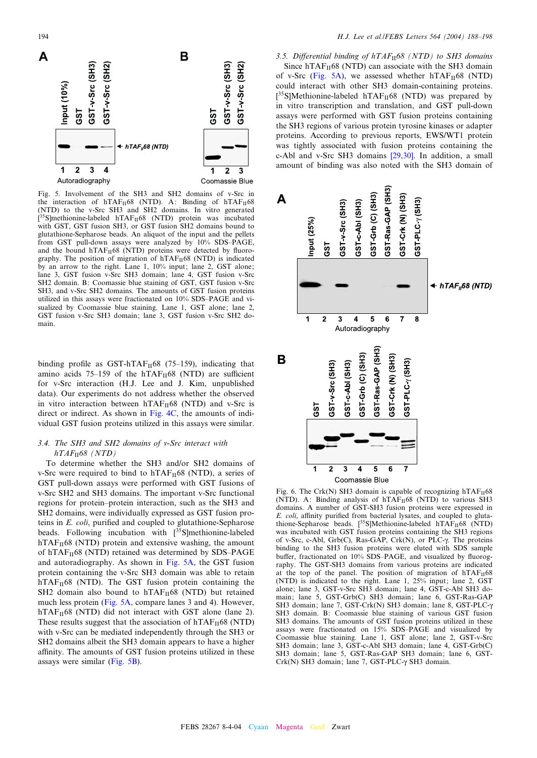<span id="page-6-0"></span>



GST v Src (SH3) GST v Src (SH2)

(NTD) to the v-Src SH3 and SH2 domains. In vitro generated  $[35S]$ methionine-labeled hTAF<sub>II</sub>68 (NTD) protein was incubated with GST, GST fusion SH3, or GST fusion SH2 domains bound to glutathione-Sepharose beads. An aliquot of the input and the pellets from GST pull-down assays were analyzed by 10% SDS^PAGE, and the bound  $hTAF_{II}68$  (NTD) proteins were detected by fluorography. The position of migration of  $hTAF_{II}68$  (NTD) is indicated by an arrow to the right. Lane 1, 10% input; lane 2, GST alone; lane 3, GST fusion v-Src SH3 domain; lane 4, GST fusion v-Src SH2 domain. B: Coomassie blue staining of GST, GST fusion v-Src SH3, and v-Src SH2 domains. The amounts of GST fusion proteins utilized in this assays were fractionated on 10% SDS^PAGE and visualized by Coomassie blue staining. Lane 1, GST alone; lane 2, GST fusion v-Src SH3 domain; lane 3, GST fusion v-Src SH2 domain.

binding profile as GST-hTAF $_{II}$ 68 (75-159), indicating that amino acids 75-159 of the hTAF $_{II}$ 68 (NTD) are sufficient for v-Src interaction (H.J. Lee and J. Kim, unpublished data). Our experiments do not address whether the observed in vitro interaction between  $hTAF_{II}68$  (NTD) and v-Src is direct or indirect. As shown in [Fig. 4C,](#page-5-0) the amounts of individual GST fusion proteins utilized in this assays were similar.

# 3.4. The SH3 and SH2 domains of v-Src interact with  $hTAF<sub>II</sub>68 (NTD)$

To determine whether the SH3 and/or SH2 domains of v-Src were required to bind to  $hTAF_{II}68$  (NTD), a series of GST pull-down assays were performed with GST fusions of v-Src SH2 and SH3 domains. The important v-Src functional regions for protein-protein interaction, such as the SH3 and SH2 domains, were individually expressed as GST fusion proteins in  $E.$   $\text{coli}$ , purified and coupled to glutathione-Sepharose beads. Following incubation with  $[35S]$ methionine-labeled  $hTAF<sub>II</sub>68 (NTD)$  protein and extensive washing, the amount of hTAF $_{II}$ 68 (NTD) retained was determined by SDS-PAGE and autoradiography. As shown in Fig. 5A, the GST fusion protein containing the v-Src SH3 domain was able to retain  $hTAF<sub>II</sub>68$  (NTD). The GST fusion protein containing the SH2 domain also bound to  $hTAF_{II}68$  (NTD) but retained much less protein (Fig. 5A, compare lanes 3 and 4). However,  $hTAF<sub>II</sub>68$  (NTD) did not interact with GST alone (lane 2). These results suggest that the association of  $hTAF_{II}68$  (NTD) with v-Src can be mediated independently through the SH3 or SH2 domains albeit the SH3 domain appears to have a higher affinity. The amounts of GST fusion proteins utilized in these assays were similar (Fig. 5B).

3.5. Differential binding of  $hTAF_{II}$ 68 (NTD) to SH3 domains Since  $hTAF_{II}68$  (NTD) can associate with the SH3 domain of v-Src (Fig. 5A), we assessed whether  $hTAF_{II}68$  (NTD) could interact with other SH3 domain-containing proteins.  $[^{35}S]$ Methionine-labeled hTAF<sub>II</sub>68 (NTD) was prepared by in vitro transcription and translation, and GST pull-down assays were performed with GST fusion proteins containing the SH3 regions of various protein tyrosine kinases or adapter proteins. According to previous reports, EWS/WT1 protein was tightly associated with fusion proteins containing the c-Abl and v-Src SH3 domains [\[29,30\]](#page-9-0). In addition, a small amount of binding was also noted with the SH3 domain of



Fig. 6. The Crk(N) SH3 domain is capable of recognizing  $hTAF_{II}68$ (NTD). A: Binding analysis of  $hTAF<sub>II</sub>68$  (NTD) to various SH3 domains. A number of GST-SH3 fusion proteins were expressed in E. coli, affinity purified from bacterial lysates, and coupled to glutathione-Sepharose beads.  $[35S]$ Methionine-labeled hTAF<sub>II</sub>68 (NTD) was incubated with GST fusion proteins containing the SH3 regions of v-Src, c-Abl,  $Grb(C)$ , Ras-GAP,  $Crk(N)$ , or PLC- $\gamma$ . The proteins binding to the SH3 fusion proteins were eluted with SDS sample buffer, fractionated on 10% SDS-PAGE, and visualized by fluorography. The GST-SH3 domains from various proteins are indicated at the top of the panel. The position of migration of  $hTAF_{II}68$ (NTD) is indicated to the right. Lane 1, 25% input; lane 2, GST alone; lane 3, GST-v-Src SH3 domain; lane 4, GST-c-Abl SH3 domain; lane 5, GST-Grb(C) SH3 domain; lane 6, GST-Ras-GAP SH3 domain; lane 7, GST-Crk(N) SH3 domain; lane 8, GST-PLC-γ SH3 domain. B: Coomassie blue staining of various GST fusion SH3 domains. The amounts of GST fusion proteins utilized in these assays were fractionated on 15% SDS-PAGE and visualized by Coomassie blue staining. Lane 1, GST alone; lane 2, GST-v-Src SH3 domain; lane 3, GST-c-Abl SH3 domain; lane 4, GST-Grb(C) SH3 domain; lane 5, GST-Ras-GAP SH3 domain; lane 6, GST-Crk(N) SH3 domain; lane 7, GST-PLC- $\gamma$  SH3 domain.

1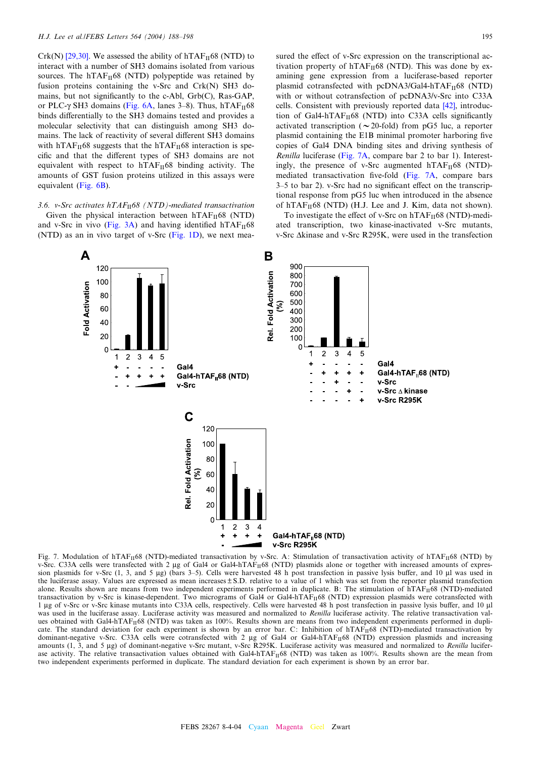<span id="page-7-0"></span>Crk(N) [\[29,30\]](#page-9-0). We assessed the ability of  $hTAF<sub>H</sub>68$  (NTD) to interact with a number of SH3 domains isolated from various sources. The hTAF $_{II}$ 68 (NTD) polypeptide was retained by fusion proteins containing the v-Src and Crk(N) SH3 domains, but not significantly to the c-Abl,  $Grb(C)$ , Ras-GAP, or PLC- $\gamma$  SH3 domains ([Fig. 6A](#page-6-0), lanes 3–8). Thus, hTAF $_{II}$ 68 binds differentially to the SH3 domains tested and provides a molecular selectivity that can distinguish among SH3 domains. The lack of reactivity of several different SH3 domains with hTAF $_{\text{II}}$ 68 suggests that the hTAF $_{\text{II}}$ 68 interaction is specific and that the different types of SH3 domains are not equivalent with respect to  $hTAF_{II}68$  binding activity. The amounts of GST fusion proteins utilized in this assays were equivalent ([Fig. 6B](#page-6-0)).

3.6. v-Src activates  $hTAF_{II}$ 68 (NTD)-mediated transactivation

Given the physical interaction between  $hTAF_{II}68$  (NTD) and v-Src in vivo ([Fig. 3A](#page-4-0)) and having identified hTAF $_{II}$ 68 (NTD) as an in vivo target of v-Src [\(Fig. 1D\)](#page-2-0), we next measured the effect of v-Src expression on the transcriptional activation property of  $hTAF_{II}68$  (NTD). This was done by examining gene expression from a luciferase-based reporter plasmid cotransfected with pcDNA3/Gal4-hTAF $_{II}$ 68 (NTD) with or without cotransfection of pcDNA3/v-Src into C33A cells. Consistent with previously reported data [\[42\],](#page-10-0) introduction of Gal4-hTAF $_H$ 68 (NTD) into C33A cells significantly activated transcription ( $\sim$  20-fold) from pG5 luc, a reporter plasmid containing the E1B minimal promoter harboring five copies of Gal4 DNA binding sites and driving synthesis of Renilla luciferase (Fig. 7A, compare bar 2 to bar 1). Interestingly, the presence of v-Src augmented  $hTAF_{II}68$  (NTD)mediated transactivation five-fold (Fig. 7A, compare bars 3–5 to bar 2). v-Src had no significant effect on the transcriptional response from pG5 luc when introduced in the absence of hTAF $_{II}$ 68 (NTD) (H.J. Lee and J. Kim, data not shown).

To investigate the effect of v-Src on  $hTAF_{II}68$  (NTD)-mediated transcription, two kinase-inactivated v-Src mutants, v-Src  $\Delta$ kinase and v-Src R295K, were used in the transfection



Fig. 7. Modulation of hTAF<sub>II</sub>68 (NTD)-mediated transactivation by v-Src. A: Stimulation of transactivation activity of hTAF<sub>II</sub>68 (NTD) by v-Src. C33A cells were transfected with 2 µg of Gal4 or Gal4-hTAF<sub>II</sub>68 (NTD) plasmids alone or together with increased amounts of expression plasmids for v-Src  $(1, 3,$  and 5  $\mu$ g) (bars 3-5). Cells were harvested 48 h post transfection in passive lysis buffer, and 10  $\mu$ l was used in the luciferase assay. Values are expressed as mean increases  $\pm$  S.D. relative to a value of 1 which was set from the reporter plasmid transfection alone. Results shown are means from two independent experiments performed in duplicate. B: The stimulation of  $n_{\text{H}}$ 68 (NTD)-mediated transactivation by v-Src is kinase-dependent. Two micrograms of Gal4 or Gal4-hTAF<sub>II</sub>68 (NTD) expression plasmids were cotransfected with 1 µg of v-Src or v-Src kinase mutants into C33A cells, respectively. Cells were harvested 48 h post transfection in passive lysis buffer, and 10 µl was used in the luciferase assay. Luciferase activity was measured and normalized to Renilla luciferase activity. The relative transactivation values obtained with Gal4-hTAF<sub>II</sub>68 (NTD) was taken as 100%. Results shown are means from two independent experiments performed in duplicate. The standard deviation for each experiment is shown by an error bar. C: Inhibition of hTAF<sub>II68</sub> (NTD)-mediated transactivation by dominant-negative v-Src. C33A cells were cotransfected with 2 µg of Gal4 or Gal4-hTAF<sub>II</sub>68 (NTD) expression plasmids and increasing amounts  $(1, 3, \text{ and } 5 \mu g)$  of dominant-negative v-Src mutant, v-Src R295K. Luciferase activity was measured and normalized to Renilla luciferase activity. The relative transactivation values obtained with Gal4-hTAF<sub>II</sub>68 (NTD) was taken as 100%. Results shown are the mean from two independent experiments performed in duplicate. The standard deviation for each experiment is shown by an error bar.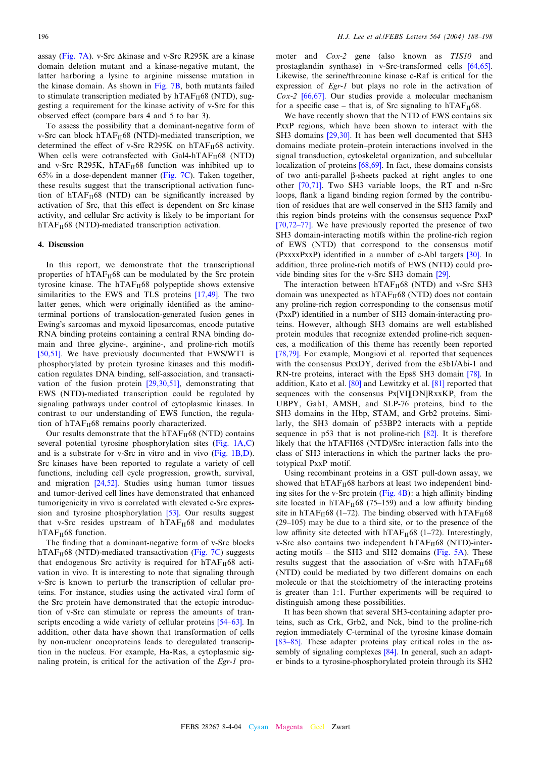assay ([Fig. 7A\)](#page-7-0). v-Src  $\Delta$ kinase and v-Src R295K are a kinase domain deletion mutant and a kinase-negative mutant, the latter harboring a lysine to arginine missense mutation in the kinase domain. As shown in [Fig. 7B,](#page-7-0) both mutants failed to stimulate transcription mediated by  $hTAF_{II}68$  (NTD), suggesting a requirement for the kinase activity of v-Src for this observed effect (compare bars 4 and 5 to bar 3).

To assess the possibility that a dominant-negative form of v-Src can block  $hTAF_{II}68$  (NTD)-mediated transcription, we determined the effect of v-Src R295K on hTAF $_{II}$ 68 activity. When cells were cotransfected with Gal4-hTAF $_{II}$ 68 (NTD) and v-Src R295K, hTAF $_{II}$ 68 function was inhibited up to 65% in a dose-dependent manner ([Fig. 7C\)](#page-7-0). Taken together, these results suggest that the transcriptional activation function of  $hTAF<sub>II</sub>68$  (NTD) can be significantly increased by activation of Src, that this effect is dependent on Src kinase activity, and cellular Src activity is likely to be important for  $hTAF<sub>II</sub>68$  (NTD)-mediated transcription activation.

# 4. Discussion

In this report, we demonstrate that the transcriptional properties of  $hTAF_{II}68$  can be modulated by the Src protein tyrosine kinase. The  $hTAF<sub>H</sub>68$  polypeptide shows extensive similarities to the EWS and TLS proteins [\[17,49\]](#page-9-0). The two latter genes, which were originally identified as the aminoterminal portions of translocation-generated fusion genes in Ewing's sarcomas and myxoid liposarcomas, encode putative RNA binding proteins containing a central RNA binding domain and three glycine-, arginine-, and proline-rich motifs [\[50,51\]](#page-10-0). We have previously documented that EWS/WT1 is phosphorylated by protein tyrosine kinases and this modification regulates DNA binding, self-association, and transactivation of the fusion protein [\[29,30,51\],](#page-9-0) demonstrating that EWS (NTD)-mediated transcription could be regulated by signaling pathways under control of cytoplasmic kinases. In contrast to our understanding of EWS function, the regulation of  $hTAF<sub>II</sub>68$  remains poorly characterized.

Our results demonstrate that the hTAF $_{II}$ 68 (NTD) contains several potential tyrosine phosphorylation sites ([Fig. 1A,C\)](#page-2-0) and is a substrate for v-Src in vitro and in vivo [\(Fig. 1B,D\)](#page-2-0). Src kinases have been reported to regulate a variety of cell functions, including cell cycle progression, growth, survival, and migration [\[24,52\].](#page-9-0) Studies using human tumor tissues and tumor-derived cell lines have demonstrated that enhanced tumorigenicity in vivo is correlated with elevated c-Src expression and tyrosine phosphorylation [\[53\]](#page-10-0). Our results suggest that v-Src resides upstream of  $hTAF_{II}68$  and modulates  $hTAF<sub>II</sub>68$  function.

The finding that a dominant-negative form of v-Src blocks  $hTAF<sub>II</sub>68$  (NTD)-mediated transactivation [\(Fig. 7C\)](#page-7-0) suggests that endogenous Src activity is required for  $hTAF_{II}68$  activation in vivo. It is interesting to note that signaling through v-Src is known to perturb the transcription of cellular proteins. For instance, studies using the activated viral form of the Src protein have demonstrated that the ectopic introduction of v-Src can stimulate or repress the amounts of transcripts encoding a wide variety of cellular proteins [54–63]. In addition, other data have shown that transformation of cells by non-nuclear oncoproteins leads to deregulated transcription in the nucleus. For example, Ha-Ras, a cytoplasmic signaling protein, is critical for the activation of the Egr-1 promoter and Cox-2 gene (also known as TIS10 and prostaglandin synthase) in v-Src-transformed cells [\[64,65\].](#page-10-0) Likewise, the serine/threonine kinase c-Raf is critical for the expression of Egr-1 but plays no role in the activation of Cox-2 [\[66,67\]](#page-10-0). Our studies provide a molecular mechanism for a specific case – that is, of Src signaling to  $hTAF<sub>II</sub>68$ .

We have recently shown that the NTD of EWS contains six PxxP regions, which have been shown to interact with the SH3 domains [\[29,30\].](#page-9-0) It has been well documented that SH3 domains mediate protein–protein interactions involved in the signal transduction, cytoskeletal organization, and subcellular localization of proteins [\[68,69\].](#page-10-0) In fact, these domains consists of two anti-parallel  $\beta$ -sheets packed at right angles to one other [\[70,71\]](#page-10-0). Two SH3 variable loops, the RT and n-Src loops, flank a ligand binding region formed by the contribution of residues that are well conserved in the SH3 family and this region binds proteins with the consensus sequence PxxP  $[70,72-77]$ . We have previously reported the presence of two SH3 domain-interacting motifs within the proline-rich region of EWS (NTD) that correspond to the consensus motif  $(PxxxxPxxP)$  identified in a number of c-Abl targets  $[30]$ . In addition, three proline-rich motifs of EWS (NTD) could provide binding sites for the v-Src SH3 domain [\[29\]](#page-9-0).

The interaction between  $hTAF_{II}68$  (NTD) and v-Src SH3 domain was unexpected as hTAF<sub>II</sub>68 (NTD) does not contain any proline-rich region corresponding to the consensus motif (PxxP) identified in a number of SH3 domain-interacting proteins. However, although SH3 domains are well established protein modules that recognize extended proline-rich sequences, a modification of this theme has recently been reported [\[78,79\]](#page-10-0). For example, Mongiovi et al. reported that sequences with the consensus PxxDY, derived from the e3b1/Abi-1 and RN-tre proteins, interact with the Eps8 SH3 domain [\[78\].](#page-10-0) In addition, Kato et al. [\[80\]](#page-10-0) and Lewitzky et al. [\[81\]](#page-10-0) reported that sequences with the consensus Px[VI][DN]RxxKP, from the UBPY, Gab1, AMSH, and SLP-76 proteins, bind to the SH3 domains in the Hbp, STAM, and Grb2 proteins. Similarly, the SH3 domain of p53BP2 interacts with a peptide sequence in p53 that is not proline-rich [\[82\].](#page-10-0) It is therefore likely that the hTAFII68 (NTD)/Src interaction falls into the class of SH3 interactions in which the partner lacks the prototypical PxxP motif.

Using recombinant proteins in a GST pull-down assay, we showed that  $hTAF_{II}68$  harbors at least two independent binding sites for the v-Src protein (Fig.  $4B$ ): a high affinity binding site located in hTAF $_{II}$ 68 (75–159) and a low affinity binding site in hTAF $_{II}$ 68 (1–72). The binding observed with hTAF $_{II}$ 68  $(29-105)$  may be due to a third site, or to the presence of the low affinity site detected with hTAF $_{II}$ 68 (1-72). Interestingly, v-Src also contains two independent hTAF<sub>II</sub>68 (NTD)-interacting motifs  $-$  the SH3 and SH2 domains ([Fig. 5A\)](#page-6-0). These results suggest that the association of v-Src with  $hTAF_{II}68$ (NTD) could be mediated by two different domains on each molecule or that the stoichiometry of the interacting proteins is greater than 1:1. Further experiments will be required to distinguish among these possibilities.

It has been shown that several SH3-containing adapter proteins, such as Crk, Grb2, and Nck, bind to the proline-rich region immediately C-terminal of the tyrosine kinase domain [83–85]. These adapter proteins play critical roles in the as-sembly of signaling complexes [\[84\]](#page-10-0). In general, such an adapter binds to a tyrosine-phosphorylated protein through its SH2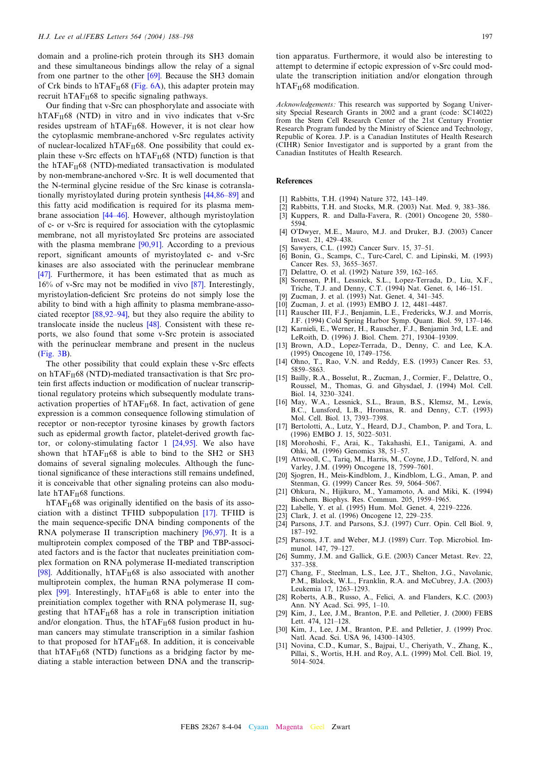<span id="page-9-0"></span>domain and a proline-rich protein through its SH3 domain and these simultaneous bindings allow the relay of a signal from one partner to the other [\[69\]](#page-10-0). Because the SH3 domain of Crk binds to hTAF $_{II}$ 68 ([Fig. 6A](#page-6-0)), this adapter protein may recruit  $hTAF_{II}68$  to specific signaling pathways.

Our finding that v-Src can phosphorylate and associate with  $hTAF<sub>II</sub>68$  (NTD) in vitro and in vivo indicates that v-Src resides upstream of  $hTAF_{II}68$ . However, it is not clear how the cytoplasmic membrane-anchored v-Src regulates activity of nuclear-localized hTAF $_{\text{II}}$ 68. One possibility that could explain these v-Src effects on  $hTAF_{II}68$  (NTD) function is that the hTAF $_{II}$ 68 (NTD)-mediated transactivation is modulated by non-membrane-anchored v-Src. It is well documented that the N-terminal glycine residue of the Src kinase is cotranslationally myristoylated during protein synthesis [44,86-89] and this fatty acid modification is required for its plasma membrane association [\[44^46\]](#page-10-0). However, although myristoylation of c- or v-Src is required for association with the cytoplasmic membrane, not all myristoylated Src proteins are associated with the plasma membrane [\[90,91\]](#page-10-0). According to a previous report, significant amounts of myristoylated c- and v-Src kinases are also associated with the perinuclear membrane [\[47\].](#page-10-0) Furthermore, it has been estimated that as much as  $16\%$  of v-Src may not be modified in vivo  $\sqrt{87}$ . Interestingly, myristoylation-deficient Src proteins do not simply lose the ability to bind with a high affinity to plasma membrane-associated receptor  $[88, 92-94]$ , but they also require the ability to translocate inside the nucleus [\[48\].](#page-10-0) Consistent with these reports, we also found that some v-Src protein is associated with the perinuclear membrane and present in the nucleus ([Fig. 3B](#page-4-0)).

The other possibility that could explain these v-Src effects on hTAF $_{II}$ 68 (NTD)-mediated transactivation is that Src protein first affects induction or modification of nuclear transcriptional regulatory proteins which subsequently modulate transactivation properties of  $hTAF_{II}68$ . In fact, activation of gene expression is a common consequence following stimulation of receptor or non-receptor tyrosine kinases by growth factors such as epidermal growth factor, platelet-derived growth factor, or colony-stimulating factor  $1$  [24,95]. We also have shown that  $hTAF_{II}68$  is able to bind to the SH2 or SH3 domains of several signaling molecules. Although the functional significance of these interactions still remains undefined, it is conceivable that other signaling proteins can also modulate  $hTAF_{II}68$  functions.

 $hTAF<sub>II</sub>68$  was originally identified on the basis of its association with a distinct TFIID subpopulation [17]. TFIID is the main sequence-specific DNA binding components of the RNA polymerase II transcription machinery [\[96,97\].](#page-10-0) It is a multiprotein complex composed of the TBP and TBP-associated factors and is the factor that nucleates preinitiation complex formation on RNA polymerase II-mediated transcription [\[98\].](#page-10-0) Additionally,  $hTAF_{II}68$  is also associated with another multiprotein complex, the human RNA polymerase II complex  $[99]$ . Interestingly, hTAF $_H$ 68 is able to enter into the preinitiation complex together with RNA polymerase II, suggesting that  $hTAF_{II}68$  has a role in transcription initiation and/or elongation. Thus, the  $hTAF_H68$  fusion product in human cancers may stimulate transcription in a similar fashion to that proposed for  $hTAF_{II}68$ . In addition, it is conceivable that  $hTAF_{II}68$  (NTD) functions as a bridging factor by mediating a stable interaction between DNA and the transcription apparatus. Furthermore, it would also be interesting to attempt to determine if ectopic expression of v-Src could modulate the transcription initiation and/or elongation through  $hTAF<sub>II</sub>68$  modification.

Acknowledgements: This research was supported by Sogang University Special Research Grants in 2002 and a grant (code: SC14022) from the Stem Cell Research Center of the 21st Century Frontier Research Program funded by the Ministry of Science and Technology, Republic of Korea. J.P. is a Canadian Institutes of Health Research (CIHR) Senior Investigator and is supported by a grant from the Canadian Institutes of Health Research.

## References

- [1] Rabbitts, T.H. (1994) Nature 372, 143-149.
- [2] Rabbitts, T.H. and Stocks, M.R. (2003) Nat. Med. 9, 383-386. [3] Kuppers, R. and Dalla-Favera, R. (2001) Oncogene 20, 5580-
- 5594.
- [4] O'Dwyer, M.E., Mauro, M.J. and Druker, B.J. (2003) Cancer Invest. 21, 429-438.
- Sawyers, C.L. (1992) Cancer Surv. 15, 37–51.
- [6] Bonin, G., Scamps, C., Turc-Carel, C. and Lipinski, M. (1993) Cancer Res. 53, 3655-3657.
- Delattre, O. et al. (1992) Nature 359, 162-165.
- [8] Sorensen, P.H., Lessnick, S.L., Lopez-Terrada, D., Liu, X.F., Triche, T.J. and Denny, C.T. (1994) Nat. Genet. 6, 146^151.
- Zucman, J. et al. (1993) Nat. Genet. 4, 341-345.
- [10] Zucman, J. et al. (1993) EMBO J. 12, 4481-4487.
- [11] Rauscher III, F.J., Benjamin, L.E., Fredericks, W.J. and Morris, J.F. (1994) Cold Spring Harbor Symp. Quant. Biol. 59, 137-146.
- [12] Karnieli, E., Werner, H., Rauscher, F.J., Benjamin 3rd, L.E. and LeRoith, D. (1996) J. Biol. Chem. 271, 19304^19309.
- [13] Brown, A.D., Lopez-Terrada, D., Denny, C. and Lee, K.A. (1995) Oncogene 10, 1749-1756.
- [14] Ohno, T., Rao, V.N. and Reddy, E.S. (1993) Cancer Res. 53, 5859^5863.
- [15] Bailly, R.A., Bosselut, R., Zucman, J., Cormier, F., Delattre, O., Roussel, M., Thomas, G. and Ghysdael, J. (1994) Mol. Cell. Biol. 14, 3230-3241.
- [16] May, W.A., Lessnick, S.L., Braun, B.S., Klemsz, M., Lewis, B.C., Lunsford, L.B., Hromas, R. and Denny, C.T. (1993) Mol. Cell. Biol. 13, 7393^7398.
- [17] Bertolotti, A., Lutz, Y., Heard, D.J., Chambon, P. and Tora, L. (1996) EMBO J. 15, 5022-5031.
- [18] Morohoshi, F., Arai, K., Takahashi, E.I., Tanigami, A. and Ohki, M. (1996) Genomics 38, 51^57.
- [19] Attwooll, C., Tariq, M., Harris, M., Coyne, J.D., Telford, N. and Varley, J.M. (1999) Oncogene 18, 7599-7601.
- [20] Sjogren, H., Meis-Kindblom, J., Kindblom, L.G., Aman, P. and Stenman, G. (1999) Cancer Res. 59, 5064-5067.
- [21] Ohkura, N., Hijikuro, M., Yamamoto, A. and Miki, K. (1994) Biochem. Biophys. Res. Commun. 205, 1959^1965.
- [22] Labelle, Y. et al. (1995) Hum. Mol. Genet. 4, 2219-2226.
- [23] Clark, J. et al. (1996) Oncogene 12, 229-235.
- [24] Parsons, J.T. and Parsons, S.J. (1997) Curr. Opin. Cell Biol. 9, 187^192.
- [25] Parsons, J.T. and Weber, M.J. (1989) Curr. Top. Microbiol. Immunol. 147, 79-127.
- [26] Summy, J.M. and Gallick, G.E. (2003) Cancer Metast. Rev. 22, 337-358.
- [27] Chang, F., Steelman, L.S., Lee, J.T., Shelton, J.G., Navolanic, P.M., Blalock, W.L., Franklin, R.A. and McCubrey, J.A. (2003) Leukemia 17, 1263-1293.
- [28] Roberts, A.B., Russo, A., Felici, A. and Flanders, K.C. (2003) Ann. NY Acad. Sci. 995, 1^10.
- [29] Kim, J., Lee, J.M., Branton, P.E. and Pelletier, J. (2000) FEBS Lett. 474, 121-128.
- [30] Kim, J., Lee, J.M., Branton, P.E. and Pelletier, J. (1999) Proc. Natl. Acad. Sci. USA 96, 14300-14305.
- [31] Novina, C.D., Kumar, S., Bajpai, U., Cheriyath, V., Zhang, K., Pillai, S., Wortis, H.H. and Roy, A.L. (1999) Mol. Cell. Biol. 19, 5014^5024.